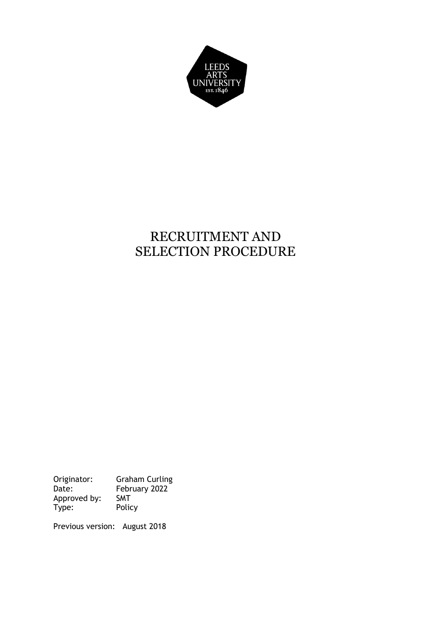

# RECRUITMENT AND SELECTION PROCEDURE

Originator: Graham Curling Date: February 2022 Approved by: SMT Type: Policy

Previous version: August 2018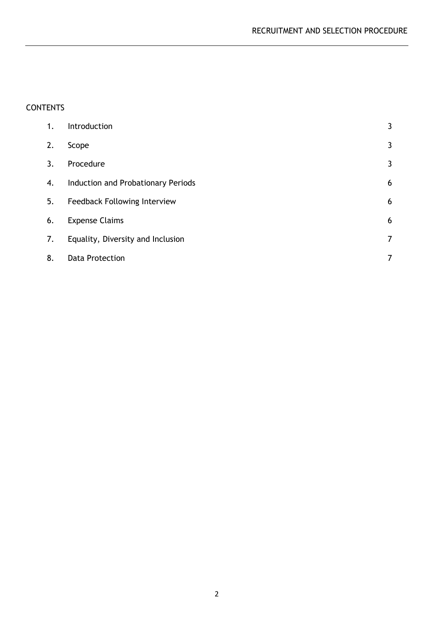# CONTENTS

| 1. | Introduction                       | 3              |
|----|------------------------------------|----------------|
| 2. | Scope                              | 3              |
| 3. | Procedure                          | $\mathbf{3}$   |
| 4. | Induction and Probationary Periods | 6              |
| 5. | Feedback Following Interview       | 6              |
| 6. | <b>Expense Claims</b>              | 6              |
| 7. | Equality, Diversity and Inclusion  | $\overline{7}$ |
| 8. | <b>Data Protection</b>             | $\overline{7}$ |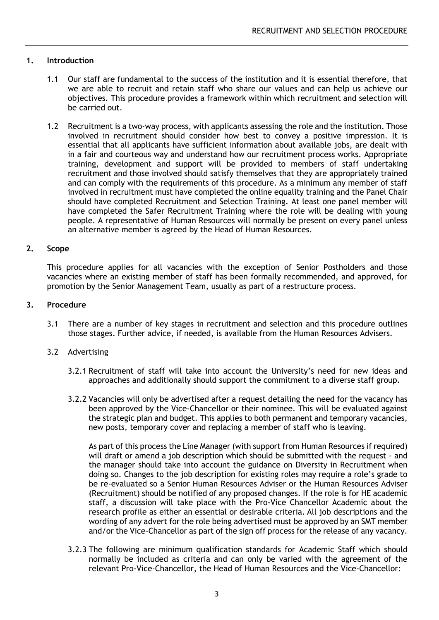# **1. Introduction**

- 1.1 Our staff are fundamental to the success of the institution and it is essential therefore, that we are able to recruit and retain staff who share our values and can help us achieve our objectives. This procedure provides a framework within which recruitment and selection will be carried out.
- 1.2 Recruitment is a two-way process, with applicants assessing the role and the institution. Those involved in recruitment should consider how best to convey a positive impression. It is essential that all applicants have sufficient information about available jobs, are dealt with in a fair and courteous way and understand how our recruitment process works. Appropriate training, development and support will be provided to members of staff undertaking recruitment and those involved should satisfy themselves that they are appropriately trained and can comply with the requirements of this procedure. As a minimum any member of staff involved in recruitment must have completed the online equality training and the Panel Chair should have completed Recruitment and Selection Training. At least one panel member will have completed the Safer Recruitment Training where the role will be dealing with young people. A representative of Human Resources will normally be present on every panel unless an alternative member is agreed by the Head of Human Resources.

## **2. Scope**

This procedure applies for all vacancies with the exception of Senior Postholders and those vacancies where an existing member of staff has been formally recommended, and approved, for promotion by the Senior Management Team, usually as part of a restructure process.

## **3. Procedure**

3.1 There are a number of key stages in recruitment and selection and this procedure outlines those stages. Further advice, if needed, is available from the Human Resources Advisers.

## 3.2 Advertising

- 3.2.1 Recruitment of staff will take into account the University's need for new ideas and approaches and additionally should support the commitment to a diverse staff group.
- 3.2.2 Vacancies will only be advertised after a request detailing the need for the vacancy has been approved by the Vice-Chancellor or their nominee. This will be evaluated against the strategic plan and budget. This applies to both permanent and temporary vacancies, new posts, temporary cover and replacing a member of staff who is leaving.

As part of this process the Line Manager (with support from Human Resources if required) will draft or amend a job description which should be submitted with the request *-* and the manager should take into account the guidance on Diversity in Recruitment when doing so. Changes to the job description for existing roles may require a role's grade to be re-evaluated so a Senior Human Resources Adviser or the Human Resources Adviser (Recruitment) should be notified of any proposed changes. If the role is for HE academic staff, a discussion will take place with the Pro-Vice Chancellor Academic about the research profile as either an essential or desirable criteria. All job descriptions and the wording of any advert for the role being advertised must be approved by an SMT member and/or the Vice–Chancellor as part of the sign off process for the release of any vacancy.

3.2.3 The following are minimum qualification standards for Academic Staff which should normally be included as criteria and can only be varied with the agreement of the relevant Pro-Vice-Chancellor, the Head of Human Resources and the Vice-Chancellor: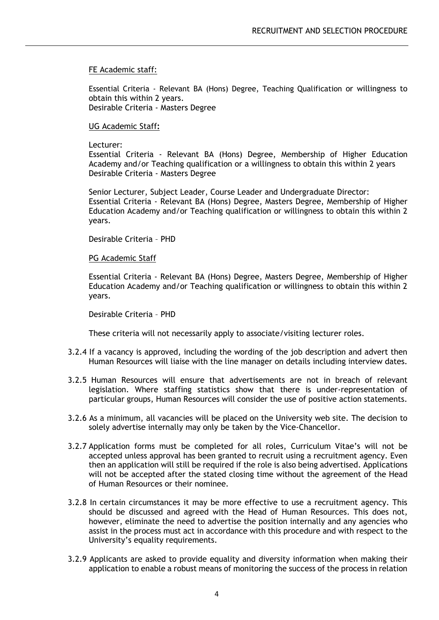FE Academic staff:

Essential Criteria - Relevant BA (Hons) Degree, Teaching Qualification or willingness to obtain this within 2 years. Desirable Criteria - Masters Degree

#### UG Academic Staff**:**

Lecturer:

Essential Criteria - Relevant BA (Hons) Degree, Membership of Higher Education Academy and/or Teaching qualification or a willingness to obtain this within 2 years Desirable Criteria - Masters Degree

Senior Lecturer, Subject Leader, Course Leader and Undergraduate Director: Essential Criteria - Relevant BA (Hons) Degree, Masters Degree, Membership of Higher Education Academy and/or Teaching qualification or willingness to obtain this within 2 years.

Desirable Criteria – PHD

PG Academic Staff

Essential Criteria - Relevant BA (Hons) Degree, Masters Degree, Membership of Higher Education Academy and/or Teaching qualification or willingness to obtain this within 2 years.

Desirable Criteria – PHD

These criteria will not necessarily apply to associate/visiting lecturer roles.

- 3.2.4 If a vacancy is approved, including the wording of the job description and advert then Human Resources will liaise with the line manager on details including interview dates.
- 3.2.5 Human Resources will ensure that advertisements are not in breach of relevant legislation. Where staffing statistics show that there is under-representation of particular groups, Human Resources will consider the use of positive action statements.
- 3.2.6 As a minimum, all vacancies will be placed on the University web site. The decision to solely advertise internally may only be taken by the Vice-Chancellor.
- 3.2.7 Application forms must be completed for all roles, Curriculum Vitae's will not be accepted unless approval has been granted to recruit using a recruitment agency. Even then an application will still be required if the role is also being advertised. Applications will not be accepted after the stated closing time without the agreement of the Head of Human Resources or their nominee.
- 3.2.8 In certain circumstances it may be more effective to use a recruitment agency. This should be discussed and agreed with the Head of Human Resources. This does not, however, eliminate the need to advertise the position internally and any agencies who assist in the process must act in accordance with this procedure and with respect to the University's equality requirements.
- 3.2.9 Applicants are asked to provide equality and diversity information when making their application to enable a robust means of monitoring the success of the process in relation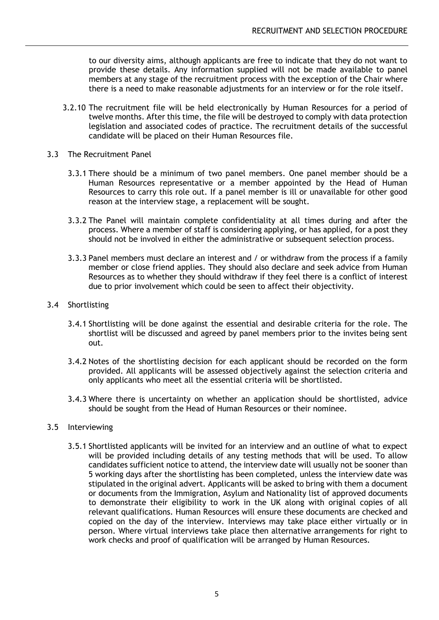to our diversity aims, although applicants are free to indicate that they do not want to provide these details. Any information supplied will not be made available to panel members at any stage of the recruitment process with the exception of the Chair where there is a need to make reasonable adjustments for an interview or for the role itself.

- 3.2.10 The recruitment file will be held electronically by Human Resources for a period of twelve months. After this time, the file will be destroyed to comply with data protection legislation and associated codes of practice. The recruitment details of the successful candidate will be placed on their Human Resources file.
- 3.3 The Recruitment Panel
	- 3.3.1 There should be a minimum of two panel members. One panel member should be a Human Resources representative or a member appointed by the Head of Human Resources to carry this role out. If a panel member is ill or unavailable for other good reason at the interview stage, a replacement will be sought.
	- 3.3.2 The Panel will maintain complete confidentiality at all times during and after the process. Where a member of staff is considering applying, or has applied, for a post they should not be involved in either the administrative or subsequent selection process.
	- 3.3.3 Panel members must declare an interest and / or withdraw from the process if a family member or close friend applies. They should also declare and seek advice from Human Resources as to whether they should withdraw if they feel there is a conflict of interest due to prior involvement which could be seen to affect their objectivity.

# 3.4 Shortlisting

- 3.4.1 Shortlisting will be done against the essential and desirable criteria for the role. The shortlist will be discussed and agreed by panel members prior to the invites being sent out.
- 3.4.2 Notes of the shortlisting decision for each applicant should be recorded on the form provided. All applicants will be assessed objectively against the selection criteria and only applicants who meet all the essential criteria will be shortlisted.
- 3.4.3 Where there is uncertainty on whether an application should be shortlisted, advice should be sought from the Head of Human Resources or their nominee.

# 3.5 Interviewing

3.5.1 Shortlisted applicants will be invited for an interview and an outline of what to expect will be provided including details of any testing methods that will be used. To allow candidates sufficient notice to attend, the interview date will usually not be sooner than 5 working days after the shortlisting has been completed, unless the interview date was stipulated in the original advert. Applicants will be asked to bring with them a document or documents from the Immigration, Asylum and Nationality list of approved documents to demonstrate their eligibility to work in the UK along with original copies of all relevant qualifications. Human Resources will ensure these documents are checked and copied on the day of the interview. Interviews may take place either virtually or in person. Where virtual interviews take place then alternative arrangements for right to work checks and proof of qualification will be arranged by Human Resources.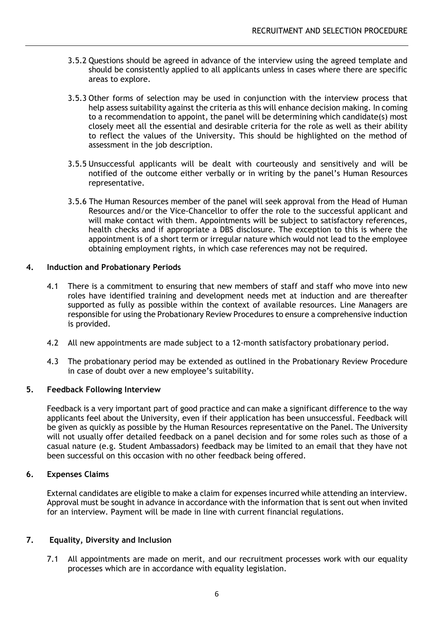- 3.5.2 Questions should be agreed in advance of the interview using the agreed template and should be consistently applied to all applicants unless in cases where there are specific areas to explore.
- 3.5.3 Other forms of selection may be used in conjunction with the interview process that help assess suitability against the criteria as this will enhance decision making. In coming to a recommendation to appoint, the panel will be determining which candidate(s) most closely meet all the essential and desirable criteria for the role as well as their ability to reflect the values of the University. This should be highlighted on the method of assessment in the job description.
- 3.5.5 Unsuccessful applicants will be dealt with courteously and sensitively and will be notified of the outcome either verbally or in writing by the panel's Human Resources representative.
- 3.5.6 The Human Resources member of the panel will seek approval from the Head of Human Resources and/or the Vice-Chancellor to offer the role to the successful applicant and will make contact with them. Appointments will be subject to satisfactory references, health checks and if appropriate a DBS disclosure. The exception to this is where the appointment is of a short term or irregular nature which would not lead to the employee obtaining employment rights, in which case references may not be required.

# **4. Induction and Probationary Periods**

- 4.1 There is a commitment to ensuring that new members of staff and staff who move into new roles have identified training and development needs met at induction and are thereafter supported as fully as possible within the context of available resources. Line Managers are responsible for using the Probationary Review Procedures to ensure a comprehensive induction is provided.
- 4.2 All new appointments are made subject to a 12-month satisfactory probationary period.
- 4.3 The probationary period may be extended as outlined in the Probationary Review Procedure in case of doubt over a new employee's suitability.

## **5. Feedback Following Interview**

Feedback is a very important part of good practice and can make a significant difference to the way applicants feel about the University, even if their application has been unsuccessful. Feedback will be given as quickly as possible by the Human Resources representative on the Panel. The University will not usually offer detailed feedback on a panel decision and for some roles such as those of a casual nature (e.g. Student Ambassadors) feedback may be limited to an email that they have not been successful on this occasion with no other feedback being offered.

# **6. Expenses Claims**

External candidates are eligible to make a claim for expenses incurred while attending an interview. Approval must be sought in advance in accordance with the information that is sent out when invited for an interview. Payment will be made in line with current financial regulations.

## **7. Equality, Diversity and Inclusion**

7.1 All appointments are made on merit, and our recruitment processes work with our equality processes which are in accordance with equality legislation.